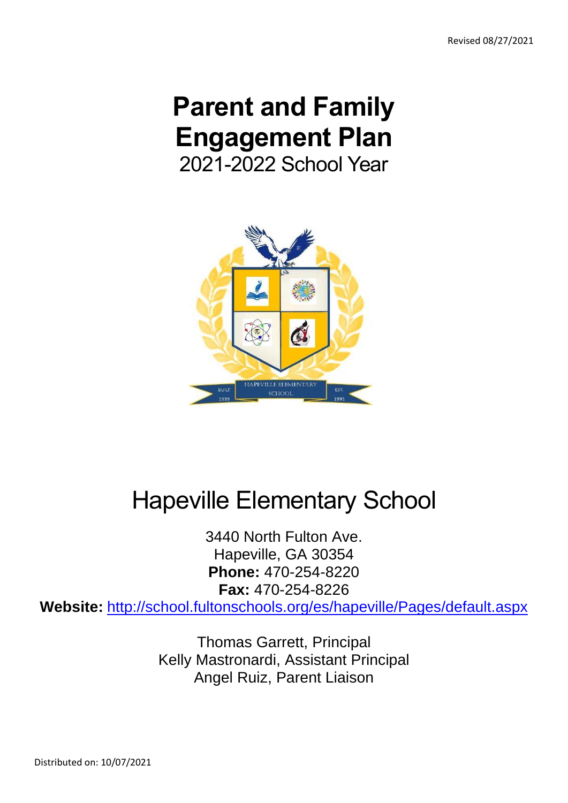# **Parent and Family Engagement Plan** 2021-2022 School Year



# Hapeville Elementary School

3440 North Fulton Ave. Hapeville, GA 30354 **Phone:** 470-254-8220 **Fax:** 470-254-8226

**Website:** <http://school.fultonschools.org/es/hapeville/Pages/default.aspx>

Thomas Garrett, Principal Kelly Mastronardi, Assistant Principal Angel Ruiz, Parent Liaison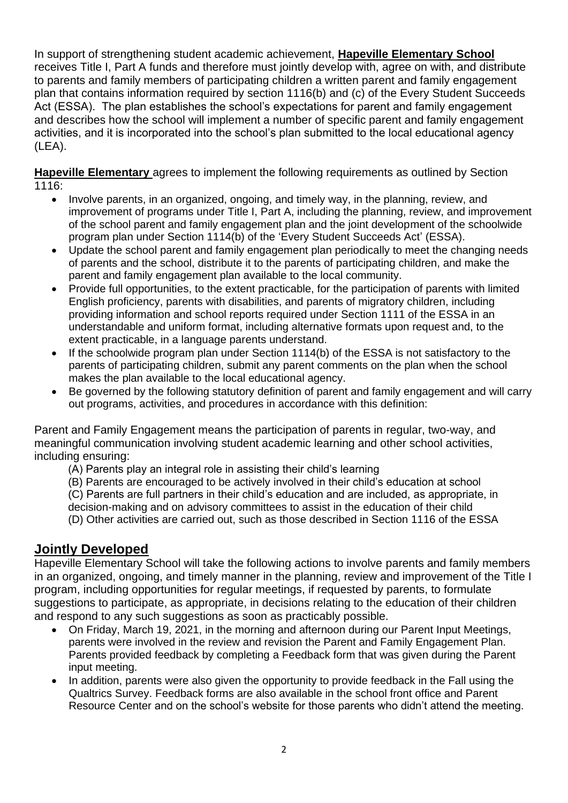In support of strengthening student academic achievement, **Hapeville Elementary School** receives Title I, Part A funds and therefore must jointly develop with, agree on with, and distribute to parents and family members of participating children a written parent and family engagement plan that contains information required by section 1116(b) and (c) of the Every Student Succeeds Act (ESSA). The plan establishes the school's expectations for parent and family engagement and describes how the school will implement a number of specific parent and family engagement activities, and it is incorporated into the school's plan submitted to the local educational agency (LEA).

**Hapeville Elementary** agrees to implement the following requirements as outlined by Section 1116:

- Involve parents, in an organized, ongoing, and timely way, in the planning, review, and improvement of programs under Title I, Part A, including the planning, review, and improvement of the school parent and family engagement plan and the joint development of the schoolwide program plan under Section 1114(b) of the 'Every Student Succeeds Act' (ESSA).
- Update the school parent and family engagement plan periodically to meet the changing needs of parents and the school, distribute it to the parents of participating children, and make the parent and family engagement plan available to the local community.
- Provide full opportunities, to the extent practicable, for the participation of parents with limited English proficiency, parents with disabilities, and parents of migratory children, including providing information and school reports required under Section 1111 of the ESSA in an understandable and uniform format, including alternative formats upon request and, to the extent practicable, in a language parents understand.
- If the schoolwide program plan under Section 1114(b) of the ESSA is not satisfactory to the parents of participating children, submit any parent comments on the plan when the school makes the plan available to the local educational agency.
- Be governed by the following statutory definition of parent and family engagement and will carry out programs, activities, and procedures in accordance with this definition:

Parent and Family Engagement means the participation of parents in regular, two-way, and meaningful communication involving student academic learning and other school activities, including ensuring:

- (A) Parents play an integral role in assisting their child's learning
- (B) Parents are encouraged to be actively involved in their child's education at school
- (C) Parents are full partners in their child's education and are included, as appropriate, in

decision-making and on advisory committees to assist in the education of their child

(D) Other activities are carried out, such as those described in Section 1116 of the ESSA

#### **Jointly Developed**

Hapeville Elementary School will take the following actions to involve parents and family members in an organized, ongoing, and timely manner in the planning, review and improvement of the Title I program, including opportunities for regular meetings, if requested by parents, to formulate suggestions to participate, as appropriate, in decisions relating to the education of their children and respond to any such suggestions as soon as practicably possible.

- On Friday, March 19, 2021, in the morning and afternoon during our Parent Input Meetings, parents were involved in the review and revision the Parent and Family Engagement Plan. Parents provided feedback by completing a Feedback form that was given during the Parent input meeting.
- In addition, parents were also given the opportunity to provide feedback in the Fall using the Qualtrics Survey. Feedback forms are also available in the school front office and Parent Resource Center and on the school's website for those parents who didn't attend the meeting.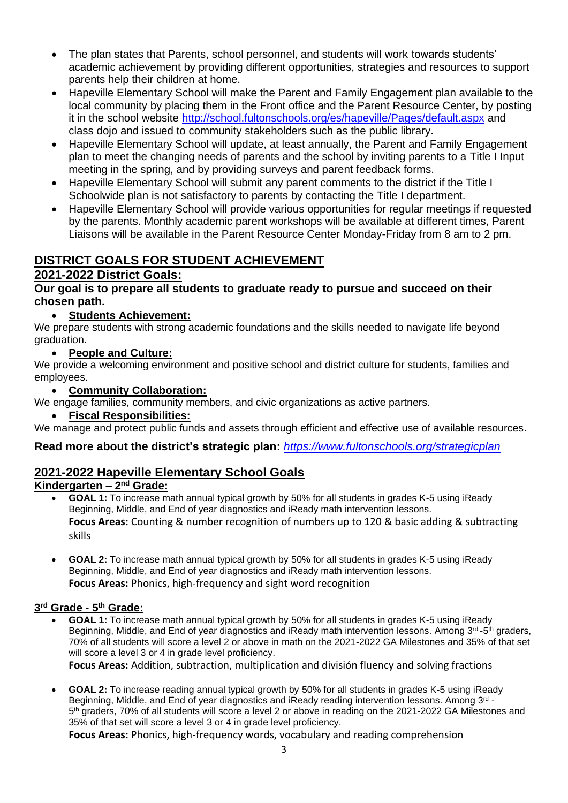- The plan states that Parents, school personnel, and students will work towards students' academic achievement by providing different opportunities, strategies and resources to support parents help their children at home.
- Hapeville Elementary School will make the Parent and Family Engagement plan available to the local community by placing them in the Front office and the Parent Resource Center, by posting it in the school website<http://school.fultonschools.org/es/hapeville/Pages/default.aspx> and class dojo and issued to community stakeholders such as the public library.
- Hapeville Elementary School will update, at least annually, the Parent and Family Engagement plan to meet the changing needs of parents and the school by inviting parents to a Title I Input meeting in the spring, and by providing surveys and parent feedback forms.
- Hapeville Elementary School will submit any parent comments to the district if the Title I Schoolwide plan is not satisfactory to parents by contacting the Title I department.
- Hapeville Elementary School will provide various opportunities for regular meetings if requested by the parents. Monthly academic parent workshops will be available at different times, Parent Liaisons will be available in the Parent Resource Center Monday-Friday from 8 am to 2 pm.

## **DISTRICT GOALS FOR STUDENT ACHIEVEMENT**

#### **2021-2022 District Goals:**

#### **Our goal is to prepare all students to graduate ready to pursue and succeed on their chosen path.**

#### • **Students Achievement:**

We prepare students with strong academic foundations and the skills needed to navigate life beyond graduation.

• **People and Culture:**

We provide a welcoming environment and positive school and district culture for students, families and employees.

#### • **Community Collaboration:**

We engage families, community members, and civic organizations as active partners.

• **Fiscal Responsibilities:**

We manage and protect public funds and assets through efficient and effective use of available resources.

**Read more about the district's strategic plan:** *<https://www.fultonschools.org/strategicplan>*

#### **2021-2022 Hapeville Elementary School Goals**

#### **Kindergarten – 2<sup>nd</sup> Grade:**

- **GOAL 1:** To increase math annual typical growth by 50% for all students in grades K-5 using iReady Beginning, Middle, and End of year diagnostics and iReady math intervention lessons. **Focus Areas:** Counting & number recognition of numbers up to 120 & basic adding & subtracting skills
- **GOAL 2:** To increase math annual typical growth by 50% for all students in grades K-5 using iReady Beginning, Middle, and End of year diagnostics and iReady math intervention lessons. **Focus Areas:** Phonics, high-frequency and sight word recognition

#### **3 rd Grade - 5 th Grade:**

• **GOAL 1:** To increase math annual typical growth by 50% for all students in grades K-5 using iReady Beginning, Middle, and End of year diagnostics and iReady math intervention lessons. Among 3<sup>rd</sup>-5<sup>th</sup> graders, 70% of all students will score a level 2 or above in math on the 2021-2022 GA Milestones and 35% of that set will score a level 3 or 4 in grade level proficiency.

**Focus Areas:** Addition, subtraction, multiplication and división fluency and solving fractions

• **GOAL 2:** To increase reading annual typical growth by 50% for all students in grades K-5 using iReady Beginning, Middle, and End of year diagnostics and iReady reading intervention lessons. Among 3<sup>rd</sup> -5<sup>th</sup> graders, 70% of all students will score a level 2 or above in reading on the 2021-2022 GA Milestones and 35% of that set will score a level 3 or 4 in grade level proficiency.

**Focus Areas:** Phonics, high-frequency words, vocabulary and reading comprehension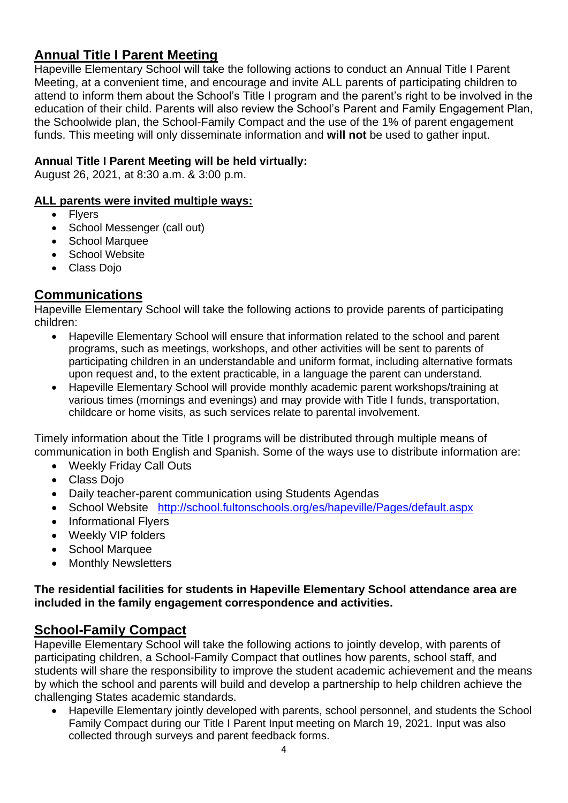## **Annual Title I Parent Meeting**

Hapeville Elementary School will take the following actions to conduct an Annual Title I Parent Meeting, at a convenient time, and encourage and invite ALL parents of participating children to attend to inform them about the School's Title I program and the parent's right to be involved in the education of their child. Parents will also review the School's Parent and Family Engagement Plan, the Schoolwide plan, the School-Family Compact and the use of the 1% of parent engagement funds. This meeting will only disseminate information and **will not** be used to gather input.

#### **Annual Title I Parent Meeting will be held virtually:**

August 26, 2021, at 8:30 a.m. & 3:00 p.m.

#### **ALL parents were invited multiple ways:**

- Flyers
- School Messenger (call out)
- School Marquee
- School Website
- Class Dojo

#### **Communications**

Hapeville Elementary School will take the following actions to provide parents of participating children:

- Hapeville Elementary School will ensure that information related to the school and parent programs, such as meetings, workshops, and other activities will be sent to parents of participating children in an understandable and uniform format, including alternative formats upon request and, to the extent practicable, in a language the parent can understand.
- Hapeville Elementary School will provide monthly academic parent workshops/training at various times (mornings and evenings) and may provide with Title I funds, transportation, childcare or home visits, as such services relate to parental involvement.

Timely information about the Title I programs will be distributed through multiple means of communication in both English and Spanish. Some of the ways use to distribute information are:

- Weekly Friday Call Outs
- Class Dojo
- Daily teacher-parent communication using Students Agendas
- School Website <http://school.fultonschools.org/es/hapeville/Pages/default.aspx>
- Informational Flyers
- Weekly VIP folders
- School Marquee
- Monthly Newsletters

#### **The residential facilities for students in Hapeville Elementary School attendance area are included in the family engagement correspondence and activities.**

## **School-Family Compact**

Hapeville Elementary School will take the following actions to jointly develop, with parents of participating children, a School-Family Compact that outlines how parents, school staff, and students will share the responsibility to improve the student academic achievement and the means by which the school and parents will build and develop a partnership to help children achieve the challenging States academic standards.

• Hapeville Elementary jointly developed with parents, school personnel, and students the School Family Compact during our Title I Parent Input meeting on March 19, 2021. Input was also collected through surveys and parent feedback forms.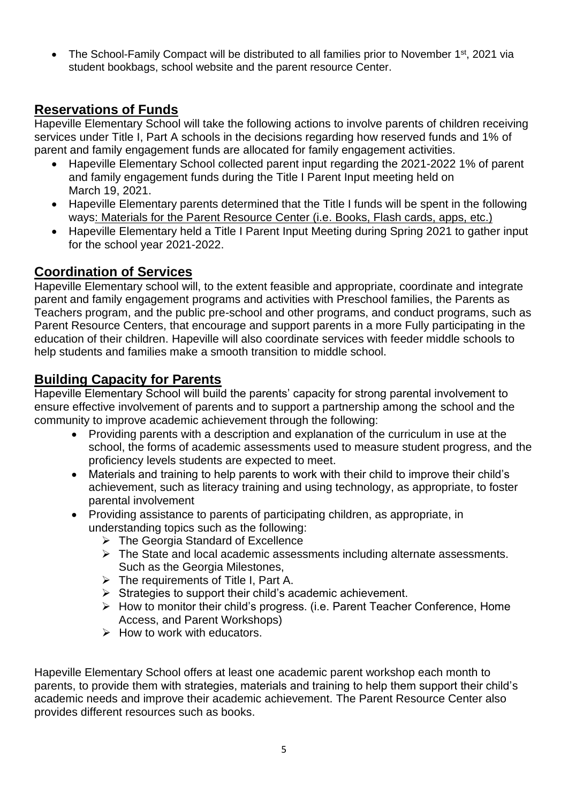The School-Family Compact will be distributed to all families prior to November 1<sup>st</sup>, 2021 via student bookbags, school website and the parent resource Center.

## **Reservations of Funds**

Hapeville Elementary School will take the following actions to involve parents of children receiving services under Title I, Part A schools in the decisions regarding how reserved funds and 1% of parent and family engagement funds are allocated for family engagement activities.

- Hapeville Elementary School collected parent input regarding the 2021-2022 1% of parent and family engagement funds during the Title I Parent Input meeting held on March 19, 2021.
- Hapeville Elementary parents determined that the Title I funds will be spent in the following ways: Materials for the Parent Resource Center (i.e. Books, Flash cards, apps, etc.)
- Hapeville Elementary held a Title I Parent Input Meeting during Spring 2021 to gather input for the school year 2021-2022.

### **Coordination of Services**

Hapeville Elementary school will, to the extent feasible and appropriate, coordinate and integrate parent and family engagement programs and activities with Preschool families, the Parents as Teachers program, and the public pre-school and other programs, and conduct programs, such as Parent Resource Centers, that encourage and support parents in a more Fully participating in the education of their children. Hapeville will also coordinate services with feeder middle schools to help students and families make a smooth transition to middle school.

## **Building Capacity for Parents**

Hapeville Elementary School will build the parents' capacity for strong parental involvement to ensure effective involvement of parents and to support a partnership among the school and the community to improve academic achievement through the following:

- Providing parents with a description and explanation of the curriculum in use at the school, the forms of academic assessments used to measure student progress, and the proficiency levels students are expected to meet.
- Materials and training to help parents to work with their child to improve their child's achievement, such as literacy training and using technology, as appropriate, to foster parental involvement
- Providing assistance to parents of participating children, as appropriate, in understanding topics such as the following:
	- ➢ The Georgia Standard of Excellence
	- ➢ The State and local academic assessments including alternate assessments. Such as the Georgia Milestones,
	- ➢ The requirements of Title I, Part A.
	- ➢ Strategies to support their child's academic achievement.
	- ➢ How to monitor their child's progress. (i.e. Parent Teacher Conference, Home Access, and Parent Workshops)
	- $\triangleright$  How to work with educators.

Hapeville Elementary School offers at least one academic parent workshop each month to parents, to provide them with strategies, materials and training to help them support their child's academic needs and improve their academic achievement. The Parent Resource Center also provides different resources such as books.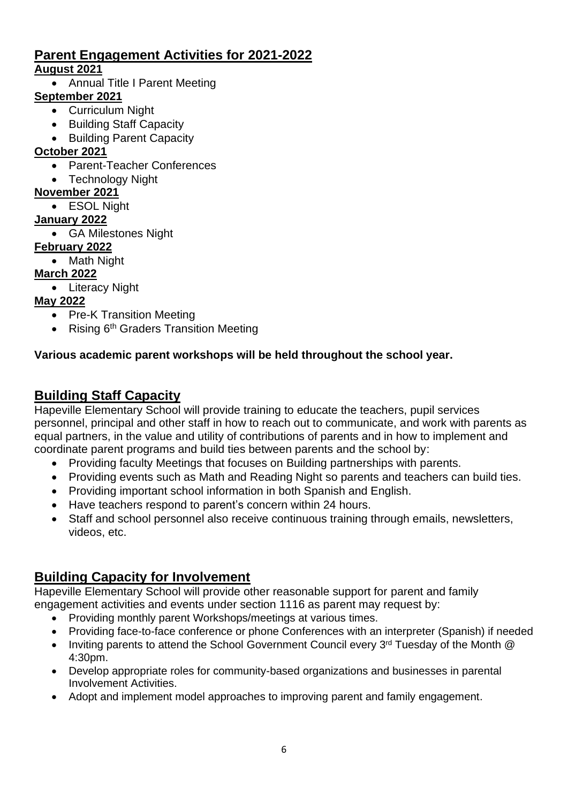## **Parent Engagement Activities for 2021-2022 August 2021**

• Annual Title I Parent Meeting

## **September 2021**

- Curriculum Night
- Building Staff Capacity
- Building Parent Capacity

## **October 2021**

- Parent-Teacher Conferences
- Technology Night

### **November 2021**

• ESOL Night

### **January 2022**

• GA Milestones Night

## **February 2022**

• Math Night

## **March 2022**

• Literacy Night

## **May 2022**

- Pre-K Transition Meeting
- Rising 6<sup>th</sup> Graders Transition Meeting

## **Various academic parent workshops will be held throughout the school year.**

# **Building Staff Capacity**

Hapeville Elementary School will provide training to educate the teachers, pupil services personnel, principal and other staff in how to reach out to communicate, and work with parents as equal partners, in the value and utility of contributions of parents and in how to implement and coordinate parent programs and build ties between parents and the school by:

- Providing faculty Meetings that focuses on Building partnerships with parents.
- Providing events such as Math and Reading Night so parents and teachers can build ties.
- Providing important school information in both Spanish and English.
- Have teachers respond to parent's concern within 24 hours.
- Staff and school personnel also receive continuous training through emails, newsletters, videos, etc.

## **Building Capacity for Involvement**

Hapeville Elementary School will provide other reasonable support for parent and family engagement activities and events under section 1116 as parent may request by:

- Providing monthly parent Workshops/meetings at various times.
- Providing face-to-face conference or phone Conferences with an interpreter (Spanish) if needed
- Inviting parents to attend the School Government Council every 3<sup>rd</sup> Tuesday of the Month @ 4:30pm.
- Develop appropriate roles for community-based organizations and businesses in parental Involvement Activities.
- Adopt and implement model approaches to improving parent and family engagement.